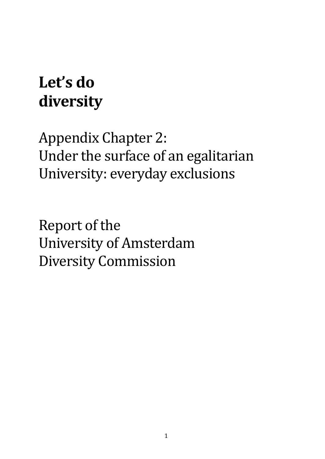# **Let's do diversity**

Appendix Chapter 2: Under the surface of an egalitarian University: everyday exclusions

Report of the University of Amsterdam Diversity Commission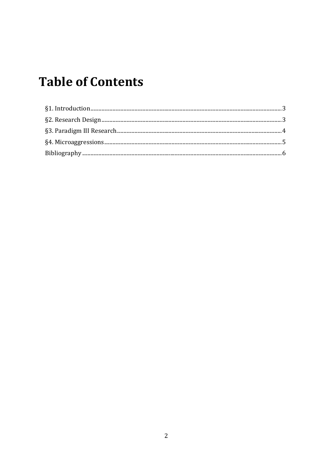# **Table of Contents**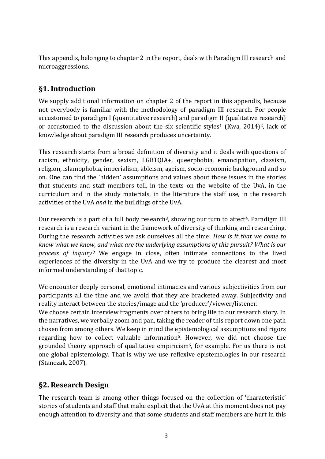This appendix, belonging to chapter 2 in the report, deals with Paradigm III research and microaggressions.

# <span id="page-2-0"></span>**§1. Introduction**

We supply additional information on chapter 2 of the report in this appendix, because not everybody is familiar with the methodology of paradigm III research. For people accustomed to paradigm I (quantitative research) and paradigm II (qualitative research) or accustomed to the discussion about the six scientific styles<sup>1</sup> (Kwa, 2014)<sup>2</sup>, lack of knowledge about paradigm III research produces uncertainty.

This research starts from a broad definition of diversity and it deals with questions of racism, ethnicity, gender, sexism, LGBTQIA+, queerphobia, emancipation, classism, religion, islamophobia, imperialism, ableism, ageism, socio-economic background and so on. One can find the 'hidden' assumptions and values about those issues in the stories that students and staff members tell, in the texts on the website of the UvA, in the curriculum and in the study materials, in the literature the staff use, in the research activities of the UvA *and* in the buildings of the UvA.

Our research is a part of a full body research<sup>3</sup>, showing our turn to affect<sup>4</sup>. Paradigm III research is a research variant in the framework of diversity of thinking and researching. During the research activities we ask ourselves all the time: *How is it that we come to know what we know, and what are the underlying assumptions of this pursuit? What is our process of inquiry?* We engage in close, often intimate connections to the lived experiences of the diversity in the UvA and we try to produce the clearest and most informed understanding of that topic.

We encounter deeply personal, emotional intimacies and various subjectivities from our participants all the time and we avoid that they are bracketed away. Subjectivity and reality interact between the stories/image and the 'producer'/viewer/listener.

We choose certain interview fragments over others to bring life to our research story. In the narratives, we verbally zoom and pan, taking the reader of this report down one path chosen from among others. We keep in mind the epistemological assumptions and rigors regarding how to collect valuable information5. However, we did not choose the grounded theory approach of qualitative empiricism<sup>6</sup>, for example. For us there is not one global epistemology. That is why we use reflexive epistemologies in our research (Stanczak, 2007).

# <span id="page-2-1"></span>**§2. Research Design**

The research team is among other things focused on the collection of 'characteristic' stories of students and staff that make explicit that the UvA at this moment does not pay enough attention to diversity and that some students and staff members are hurt in this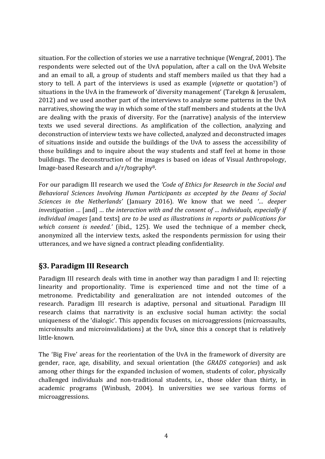situation. For the collection of stories we use a narrative technique (Wengraf, 2001). The respondents were selected out of the UvA population, after a call on the UvA Website and an email to all, a group of students and staff members mailed us that they had a story to tell. A part of the interviews is used as example (*vignette* or quotation7) of situations in the UvA in the framework of 'diversity management' (Tarekgn & Jerusalem, 2012) and we used another part of the interviews to analyze some patterns in the UvA narratives, showing the way in which some of the staff members and students at the UvA are dealing with the praxis of diversity. For the (narrative) analysis of the interview texts we used several directions. As amplification of the collection, analyzing and deconstruction of interview texts we have collected, analyzed and deconstructed images of situations inside and outside the buildings of the UvA to assess the accessibility of those buildings and to inquire about the way students and staff feel at home in those buildings. The deconstruction of the images is based on ideas of Visual Anthropology, Image-based Research and a/r/tography8.

For our paradigm III research we used the *'Code of Ethics for Research in the Social and Behavioral Sciences Involving Human Participants as accepted by the Deans of Social Sciences in the Netherlands'* (January 2016). We know that we need *'… deeper investigation …* [and] *… the interaction with and the consent of … individuals, especially if individual images* [and texts] *are to be used as illustrations in reports or publications for which consent is needed.'* (ibid., 125). We used the technique of a member check, anonymized all the interview texts, asked the respondents permission for using their utterances, and we have signed a contract pleading confidentiality.

#### <span id="page-3-0"></span>**§3. Paradigm III Research**

Paradigm III research deals with time in another way than paradigm I and II: rejecting linearity and proportionality. Time is experienced time and not the time of a metronome. Predictability and generalization are not intended outcomes of the research. Paradigm III research is adaptive, personal and situational. Paradigm III research claims that narrativity is an exclusive social human activity: the social uniqueness of the 'dialogic'. This appendix focuses on microaggressions (microassaults, microinsults and microinvalidations) at the UvA, since this a concept that is relatively little-known.

The 'Big Five' areas for the reorientation of the UvA in the framework of diversity are gender, race, age, disability, and sexual orientation (the *GRADS categories*) and ask among other things for the expanded inclusion of women, students of color, physically challenged individuals and non-traditional students, i.e., those older than thirty, in academic programs (Winbush, 2004). In universities we see various forms of microaggressions.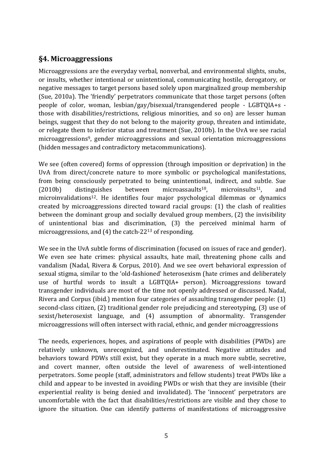### <span id="page-4-0"></span>**§4. Microaggressions**

Microaggressions are the everyday verbal, nonverbal, and environmental slights, snubs, or insults, whether intentional or unintentional, communicating hostile, derogatory, or negative messages to target persons based solely upon marginalized group membership (Sue, 2010a). The 'friendly' perpetrators communicate that those target persons (often people of color, woman, lesbian/gay/bisexual/transgendered people - LGBTQIA+s those with disabilities/restrictions, religious minorities, and so on) are lesser human beings, suggest that they do not belong to the majority group, threaten and intimidate, or relegate them to inferior status and treatment (Sue, 2010b). In the UvA we see racial microaggressions9, gender microaggressions and sexual orientation microaggressions (hidden messages and contradictory metacommunications).

We see (often covered) forms of oppression (through imposition or deprivation) in the UvA from direct/concrete nature to more symbolic or psychological manifestations, from being consciously perpetrated to being unintentional, indirect, and subtle. Sue  $(2010b)$  distinguishes between microassaults<sup>10</sup>, microinsults<sup>11</sup>, and microinvalidations<sup>12</sup>. He identifies four major psychological dilemmas or dynamics created by microaggressions directed toward racial groups: (1) the clash of realities between the dominant group and socially devalued group members, (2) the invisibility of unintentional bias and discrimination, (3) the perceived minimal harm of microaggressions, and (4) the catch-22<sup>13</sup> of responding.

We see in the UvA subtle forms of discrimination (focused on issues of race and gender). We even see hate crimes: physical assaults, hate mail, threatening phone calls and vandalism (Nadal, Rivera & Corpus, 2010). And we see overt behavioral expression of sexual stigma, similar to the 'old-fashioned' heterosexism (hate crimes and deliberately use of hurtful words to insult a LGBTQIA+ person). Microaggressions toward transgender individuals are most of the time not openly addressed or discussed. Nadal, Rivera and Corpus (ibid.) mention four categories of assaulting transgender people: (1) second-class citizen, (2) traditional gender role prejudicing and stereotyping, (3) use of sexist/heterosexist language, and (4) assumption of abnormality. Transgender microaggressions will often intersect with racial, ethnic, and gender microaggressions

The needs, experiences, hopes, and aspirations of people with disabilities (PWDs) are relatively unknown, unrecognized, and underestimated. Negative attitudes and behaviors toward PDWs still exist, but they operate in a much more subtle, secretive, and covert manner, often outside the level of awareness of well-intentioned perpetrators. Some people (staff, administrators and fellow students) treat PWDs like a child and appear to be invested in avoiding PWDs or wish that they are invisible (their experiential reality is being denied and invalidated). The 'innocent' perpetrators are uncomfortable with the fact that disabilities/restrictions are visible and they chose to ignore the situation. One can identify patterns of manifestations of microaggressive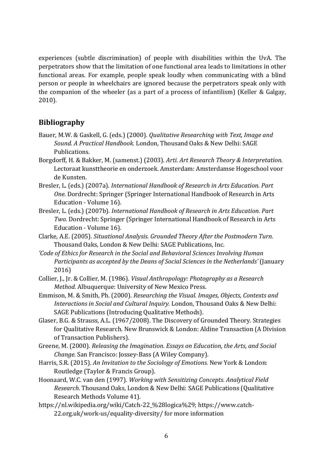experiences (subtle discrimination) of people with disabilities within the UvA. The perpetrators show that the limitation of one functional area leads to limitations in other functional areas. For example, people speak loudly when communicating with a blind person or people in wheelchairs are ignored because the perpetrators speak only with the companion of the wheeler (as a part of a process of infantilism) (Keller & Galgay, 2010).

#### <span id="page-5-0"></span>**Bibliography**

- Bauer, M.W. & Gaskell, G. (eds.) (2000). *Qualitative Researching with Text, Image and Sound. A Practical Handbook.* London, Thousand Oaks & New Delhi: SAGE Publications.
- Borgdorff, H. & Bakker, M. (samenst.) (2003). *Arti. Art Research Theory & Interpretation.* Lectoraat kunsttheorie en onderzoek. Amsterdam: Amsterdamse Hogeschool voor de Kunsten.
- Bresler, L. (eds.) (2007a). *International Handbook of Research in Arts Education. Part One.* Dordrecht: Springer (Springer International Handbook of Research in Arts Education - Volume 16).
- Bresler, L. (eds.) (2007b). *International Handbook of Research in Arts Education. Part Two.* Dordrecht: Springer (Springer International Handbook of Research in Arts Education - Volume 16).
- Clarke, A.E. (2005). *Situational Analysis. Grounded Theory After the Postmodern Turn.* Thousand Oaks, London & New Delhi: SAGE Publications, Inc.
- *'Code of Ethics for Research in the Social and Behavioral Sciences Involving Human Participants as accepted by the Deans of Social Sciences in the Netherlands'* (January 2016)
- Collier, J., Jr. & Collier, M. (1986). *Visual Anthropology: Photography as a Research Method.* Albuquerque: University of New Mexico Press.
- Emmison, M. & Smith, Ph. (2000). *Researching the Visual. Images, Objects, Contexts and Interactions in Social and Cultural Inquiry.* London, Thousand Oaks & New Delhi: SAGE Publications (Introducing Qualitative Methods).
- Glaser, B.G. & Strauss, A.L. (1967/2008). The Discovery of Grounded Theory. Strategies for Qualitative Research. New Brunswick & London: Aldine Transaction (A Division of Transaction Publishers).
- Greene, M. (2000). *Releasing the Imagination. Essays on Education, the Arts, and Social Change.* San Francisco: Jossey-Bass (A Wiley Company).
- Harris, S.R. (2015). *An Invitation to the Sociology of Emotions.* New York & London: Routledge (Taylor & Francis Group).
- Hoonaard, W.C. van den (1997). *Working with Sensitizing Concepts. Analytical Field Research.* Thousand Oaks, London & New Delhi: SAGE Publications (Qualitative Research Methods Volume 41).
- https://nl.wikipedia.org/wiki/Catch-22\_%28logica%29; https://www.catch-22.org.uk/work-us/equality-diversity/ for more information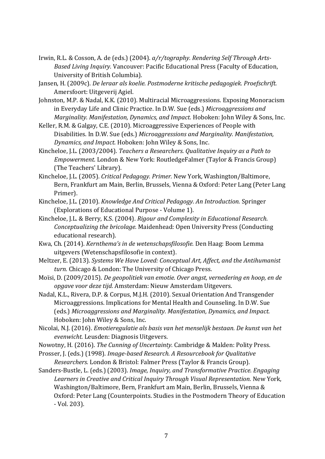- Irwin, R.L. & Cosson, A. de (eds.) (2004). *a/r/tography. Rendering Self Through Arts-Based Living Inquiry.* Vancouver: Pacific Educational Press (Faculty of Education, University of British Columbia).
- Jansen, H. (2009c). *De leraar als koelie. Postmoderne kritische pedagogiek. Proefschrift.* Amersfoort: Uitgeverij Agiel.
- Johnston, M.P. & Nadal, K.K. (2010). Multiracial Microaggressions. Exposing Monoracism in Everyday Life and Clinic Practice. In D.W. Sue (eds.) *Microaggressions and Marginality. Manifestation, Dynamics, and Impact.* Hoboken: John Wiley & Sons, Inc.
- Keller, R.M. & Galgay, C.E. (2010). Microaggressive Experiences of People with Disabilities. In D.W. Sue (eds.) *Microaggressions and Marginality. Manifestation, Dynamics, and Impact.* Hoboken: John Wiley & Sons, Inc.
- Kincheloe, J.L. (2003/2004). *Teachers a Researchers. Qualitative Inquiry as a Path to Empowerment.* London & New York: RoutledgeFalmer (Taylor & Francis Group) (The Teachers' Library).
- Kincheloe, J.L. (2005). *Critical Pedagogy. Primer.* New York, Washington/Baltimore, Bern, Frankfurt am Main, Berlin, Brussels, Vienna & Oxford: Peter Lang (Peter Lang Primer).
- Kincheloe, J.L. (2010). *Knowledge And Critical Pedagogy. An Introduction.* Springer (Explorations of Educational Purpose - Volume 1).
- Kincheloe, J.L. & Berry, K.S. (2004). *Rigour and Complexity in Educational Research. Conceptualizing the bricolage.* Maidenhead: Open University Press (Conducting educational research).
- Kwa, Ch. (2014). *Kernthema's in de wetenschapsfilosofie.* Den Haag: Boom Lemma uitgevers (Wetenschapsfilosofie in context).
- Meltzer, E. (2013). *Systems We Have Loved: Conceptual Art, Affect, and the Antihumanist turn.* Chicago & London: The University of Chicago Press.
- Moïsi, D. (2009/2015). *De geopolitiek van emotie. Over angst, vernedering en hoop, en de opgave voor deze tijd.* Amsterdam: Nieuw Amsterdam Uitgevers.
- Nadal, K.L., Rivera, D.P. & Corpus, M.J.H. (2010). Sexual Orientation And Transgender Microaggressions. Implications for Mental Health and Counseling. In D.W. Sue (eds.) *Microaggressions and Marginality. Manifestation, Dynamics, and Impact.* Hoboken: John Wiley & Sons, Inc.
- Nicolai, N.J. (2016). *Emotieregulatie als basis van het menselijk bestaan. De kunst van het evenwicht.* Leusden: Diagnosis Uitgevers.
- Nowotny, H. (2016). *The Cunning of Uncertainty.* Cambridge & Malden: Polity Press.
- Prosser, J. (eds.) (1998). *Image-based Research. A Resourcebook for Qualitative Researchers.* London & Bristol: Falmer Press (Taylor & Francis Group).
- Sanders-Bustle, L. (eds.) (2003). *Image, Inquiry, and Transformative Practice. Engaging Learners in Creative and Critical Inquiry Through Visual Representation.* New York, Washington/Baltimore, Bern, Frankfurt am Main, Berlin, Brussels, Vienna & Oxford: Peter Lang (Counterpoints. Studies in the Postmodern Theory of Education - Vol. 203).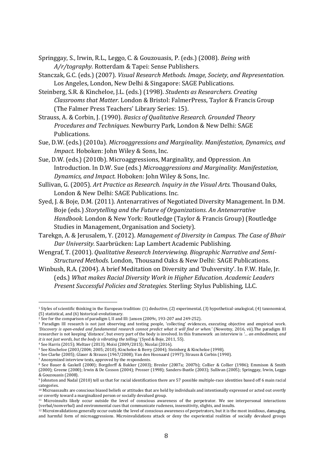Springgay, S., Irwin, R.L., Leggo, C. & Gouzouasis, P. (eds.) (2008). *Being with A/r/tography.* Rotterdam & Tapei: Sense Publishers.

Stanczak, G.C. (eds.) (2007). *Visual Research Methods. Image, Society, and Representation.* Los Angeles, London, New Delhi & Singapore: SAGE Publications.

Steinberg, S.R. & Kincheloe, J.L. (eds.) (1998). *Students as Researchers. Creating Classrooms that Matter.* London & Bristol: FalmerPress, Taylor & Francis Group (The Falmer Press Teachers' Library Series: 15).

Strauss, A. & Corbin, J. (1990). *Basics of Qualitative Research. Grounded Theory Procedures and Techniques.* Newburry Park, London & New Delhi: SAGE Publications.

Sue, D.W. (eds.) (2010a). *Microaggressions and Marginality. Manifestation, Dynamics, and Impact.* Hoboken: John Wiley & Sons, Inc.

Sue, D.W. (eds.) (2010b). Microaggressions, Marginality, and Oppression. An Introduction. In D.W. Sue (eds.) *Microaggressions and Marginality. Manifestation, Dynamics, and Impact.* Hoboken: John Wiley & Sons, Inc.

Sullivan, G. (2005). *Art Practice as Research. Inquiry in the Visual Arts.* Thousand Oaks, London & New Delhi: SAGE Publications. Inc.

Syed, J. & Boje, D.M. (2011). Antenarratives of Negotiated Diversity Management. In D.M. Boje (eds.) *Storytelling and the Future of Organizations. An Antenarrative Handbook.* London & New York: Routledge (Taylor & Francis Group) (Routledge Studies in Management, Organisation and Society).

- Tarekgn, A. & Jerusalem, Y. (2012). *Management of Diversity in Campus. The Case of Bhair Dar University.* Saarbrücken: Lap Lambert Academic Publishing.
- Wengraf, T. (2001). *Qualitative Research Interviewing. Biographic Narrative and Semi-Structured Methods.* London, Thousand Oaks & New Delhi: SAGE Publications.
- Winbush, R.A. (2004). A brief Meditation on Diversity and 'Duhversity'. In F.W. Hale, Jr. (eds.) *What makes Racial Diversity Work in Higher Education. Academic Leaders Present Successful Policies and Strategies.* Sterling: Stylus Publishing, LLC.

 $\overline{\phantom{a}}$ 

<sup>1</sup> Styles of scientific thinking in the European tradition: (1) deductive, (2) experimental, (3) hypothetical-analogical, (4) taxonomical, (5) statistical, and (6) historical-evolutionary.

<sup>2</sup> See for the comparison of paradigm I, II and III: Jansen (2009c, 193-207 and 249-252).

<sup>3</sup> Paradigm III research is not just observing and testing people, 'collecting' evidences, executing objective and empirical work. *'Discovery is open-ended and fundamental research cannot predict what it will find or when.'* (Nowotny, 2016, vii).The paradigm III researcher is not keeping 'distance', but every part of the body is involved. In this framework an interview is *'… an embodiment, and it is not just words, but the body is vibrating the telling.'* (Syed & Boje, 2011, 55).

<sup>4</sup> See Harris (2015); Meltzer (2013); Moïsi (2009/2015); Nicolai (2016).

<sup>5</sup> See Kincheloe (2003/2004; 2005; 2010); Kincheloe & Berry (2004); Steinberg & Kincheloe (1998).

<sup>6</sup> See Clarke (2005); Glaser & Strauss (1967/2008); Van den Hoonaard (1997); Strauss & Corbin (1990).

<sup>7</sup> Anonymized interview texts, approved by the respondents.

<sup>8</sup> See Bauer & Gaskell (2000); Borgdorff & Bakker (2003); Bresler (2007a; 2007b); Collier & Collier (1986); Emmison & Smith (2000); Greene (2000); Irwin & De Cosson (2004); Prosser (1998); Sanders-Bustle (2003); Sullivan (2005); Springgay, Irwin, Leggo & Gouzouasis (2008).

<sup>9</sup> Johnston and Nadal (2010) tell us that for racial identification there are 57 possible multiple-race identities based off 6 main racial categories.

<sup>10</sup> Microassaults are conscious biased beliefs or attitudes that are held by individuals and intentionally expressed or acted out overtly or covertly toward a marginalized person or socially devalued group.

<sup>&</sup>lt;sup>11</sup> Microinsults likely occur outside the level of conscious awareness of the perpetrator. We see interpersonal interactions (verbal/nonverbal) and environmental cues that communicate rudeness, insensitivity, slights, and insults.

<sup>12</sup> Microinvalidations generally occur outside the level of conscious awareness of perpetrators, but it is the most insidious, damaging, and harmful form of microaggressions. Microinvalidations attack or deny the experiential realities of socially devalued groups